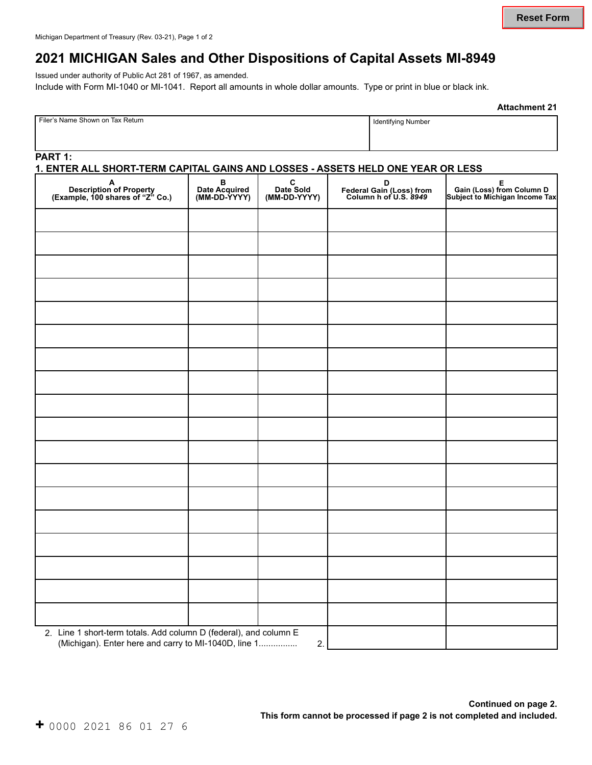## **2021 MICHIGAN Sales and Other Dispositions of Capital Assets MI-8949**

Issued under authority of Public Act 281 of 1967, as amended. Include with Form MI-1040 or MI-1041. Report all amounts in whole dollar amounts. Type or print in blue or black ink.

|  |  |  |  |  | $+$ 0000 2021 86 01 27 6 |  |
|--|--|--|--|--|--------------------------|--|
|--|--|--|--|--|--------------------------|--|

| <b>Attachment 21</b> |  |
|----------------------|--|
|----------------------|--|

#### **1. ENTER ALL SHORT-TERM CAPITAL GAINS AND LOSSES - ASSETS HELD ONE YEAR OR LESS**

Filer's Name Shown on Tax Return **International Contract on Tax Return** International International International International International International International International International International Internatio

| A<br>Description of Property<br>(Example, 100 shares of "Z" Co.)                                                          | B<br>Date Acquired<br>(MM-DD-YYYY) | C<br>Date Sold<br>(MM-DD-YYYY) | D<br>Federal Gain (Loss) from<br>Column h of U.S. 8949 |  |
|---------------------------------------------------------------------------------------------------------------------------|------------------------------------|--------------------------------|--------------------------------------------------------|--|
|                                                                                                                           |                                    |                                |                                                        |  |
|                                                                                                                           |                                    |                                |                                                        |  |
|                                                                                                                           |                                    |                                |                                                        |  |
|                                                                                                                           |                                    |                                |                                                        |  |
|                                                                                                                           |                                    |                                |                                                        |  |
|                                                                                                                           |                                    |                                |                                                        |  |
|                                                                                                                           |                                    |                                |                                                        |  |
|                                                                                                                           |                                    |                                |                                                        |  |
|                                                                                                                           |                                    |                                |                                                        |  |
|                                                                                                                           |                                    |                                |                                                        |  |
|                                                                                                                           |                                    |                                |                                                        |  |
|                                                                                                                           |                                    |                                |                                                        |  |
|                                                                                                                           |                                    |                                |                                                        |  |
|                                                                                                                           |                                    |                                |                                                        |  |
|                                                                                                                           |                                    |                                |                                                        |  |
|                                                                                                                           |                                    |                                |                                                        |  |
|                                                                                                                           |                                    |                                |                                                        |  |
|                                                                                                                           |                                    |                                |                                                        |  |
| 2. Line 1 short-term totals. Add column D (federal), and column E<br>(Michigan). Enter here and carry to MI-1040D, line 1 |                                    | 2.                             |                                                        |  |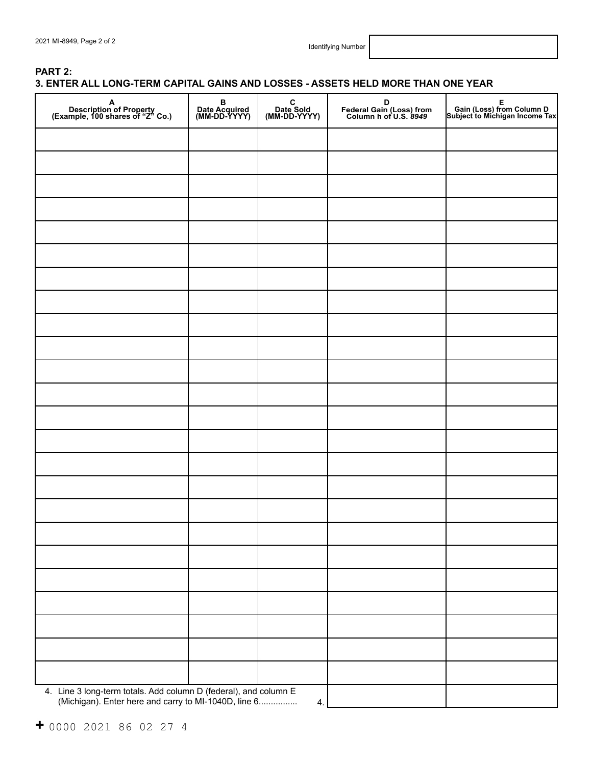### **PART 2: 3. ENTER ALL LONG-TERM CAPITAL GAINS AND LOSSES - ASSETS HELD MORE THAN ONE YEAR**

| A<br>Description of Property<br>(Example, 100 shares of "Z" Co.)                                                      | B<br>Date Acquired<br>(MM-DD-YYYY) | C<br>Date Sold<br>(MM-DD-YYYY) | D<br>Federal Gain (Loss) from<br>Column h of U.S. 8949 |  |
|-----------------------------------------------------------------------------------------------------------------------|------------------------------------|--------------------------------|--------------------------------------------------------|--|
|                                                                                                                       |                                    |                                |                                                        |  |
|                                                                                                                       |                                    |                                |                                                        |  |
|                                                                                                                       |                                    |                                |                                                        |  |
|                                                                                                                       |                                    |                                |                                                        |  |
|                                                                                                                       |                                    |                                |                                                        |  |
|                                                                                                                       |                                    |                                |                                                        |  |
|                                                                                                                       |                                    |                                |                                                        |  |
|                                                                                                                       |                                    |                                |                                                        |  |
|                                                                                                                       |                                    |                                |                                                        |  |
|                                                                                                                       |                                    |                                |                                                        |  |
|                                                                                                                       |                                    |                                |                                                        |  |
|                                                                                                                       |                                    |                                |                                                        |  |
|                                                                                                                       |                                    |                                |                                                        |  |
|                                                                                                                       |                                    |                                |                                                        |  |
|                                                                                                                       |                                    |                                |                                                        |  |
|                                                                                                                       |                                    |                                |                                                        |  |
|                                                                                                                       |                                    |                                |                                                        |  |
|                                                                                                                       |                                    |                                |                                                        |  |
|                                                                                                                       |                                    |                                |                                                        |  |
|                                                                                                                       |                                    |                                |                                                        |  |
|                                                                                                                       |                                    |                                |                                                        |  |
|                                                                                                                       |                                    |                                |                                                        |  |
| 4. Line 3 long-term totals. Add column D (federal), and column E (Michigan). Enter here and carry to MI-1040D, line 6 |                                    | 4.                             |                                                        |  |